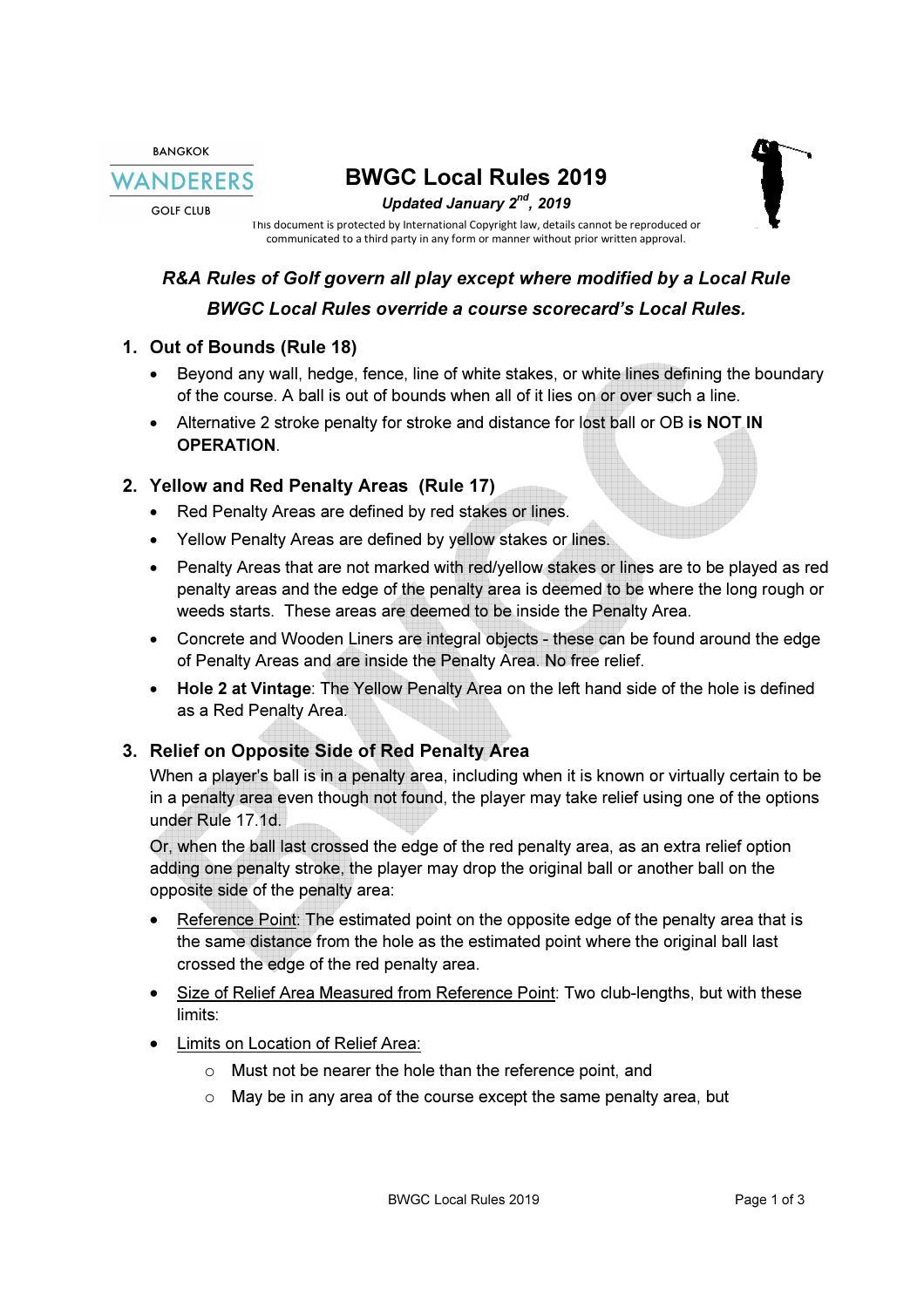RANGKOK WANDERERS

**GOLF CLUB** 



This document is protected by International Copyright law, details cannot be reproduced or details cannot be reproduced or manner without prior written approval.communicated to a third party in any form or manner without prior written approval.

# R&A Rules of Golf govern all play except where modified by a Local Rule<br>BWGC Local Rules override a course scorecard's Local Rules. BWGC Local Rules override a course scorecard's Local Rules.

#### 1. Out of Bounds (Rule 18)

- Beyond any wall, hedge, fence, line of white stakes, or white lines defining the boundary of the course. A ball is out of bounds when all of it lies on or over such a line.
- of the course. A ball is out of bounds when all of it lies on or over such a line.<br>Alternative 2 stroke penalty for stroke and distance for lost ball or OB is NOT IN OPERATION.

## 2. Yellow and Red Penalty Areas (Rule 17)

- Red Penalty Areas are defined by red stakes or lines.
- Yellow Penalty Areas are defined by yellow stakes or lines.
- Penalty Areas that are not marked with red/yellow stakes or lines are to be played as red penalty areas and the edge of the penalty area is deemed to be where the long rough or weeds starts. These areas are deemed to be inside the Penalty Area.
- Concrete and Wooden Liners are integral objects these can be found around the edge of Penalty Areas and are inside the Penalty Area. No free relief. e inside the Penalty Area.<br>tects - these can be found around the edge<br>\rea. No free relief.<br>on the left hand side of the hole is defined
- Hole 2 at Vintage: The Yellow Penalty Area on the left hand side of the hole is as a Red Penalty Area Area.

## 3. Relief on Opposite Side of Red Penalty Area Area

When a player's ball is in a penalty area, including when it is known or virtually certain to When a player's ball is in a penalty area, including when it is known or virtually certain to be When a player's ball is in a penalty area, including when it is known or virtually certain to be<br>in a penalty area even though not found, the player may take relief using one of the options under Rule 17.1d.

Or, when the ball last crossed the edge of the red penalty area, as an extra relief option adding one penalty stroke, the player may drop the original ball or another ball on the opposite side of the penalty area: in a penalty area even though not found, the player may take relief using one of the options<br>under Rule 17.1d.<br>Or, when the ball last crossed the edge of the red penalty area, as an extra relief option<br>adding one penalty s

- Reference Point: The estimated point on the opposite edge of the penalty area that is the same distance from the hole as the estimated point where the original ball last crossed the edge of the red penalty area. • Reference Point: The estimated point on the opposite edge of the penather same distance from the hole as the estimated point where the origi crossed the edge of the red penalty area.<br>• Size of Relief Area Measured from R
- limits:
- Limits on Location of Relief Area:
	- o Must not be nearer the hole than the reference point, and
	- Must not be nearer the hole than the reference point, and<br>○ May be in any area of the course except the same penalty area, but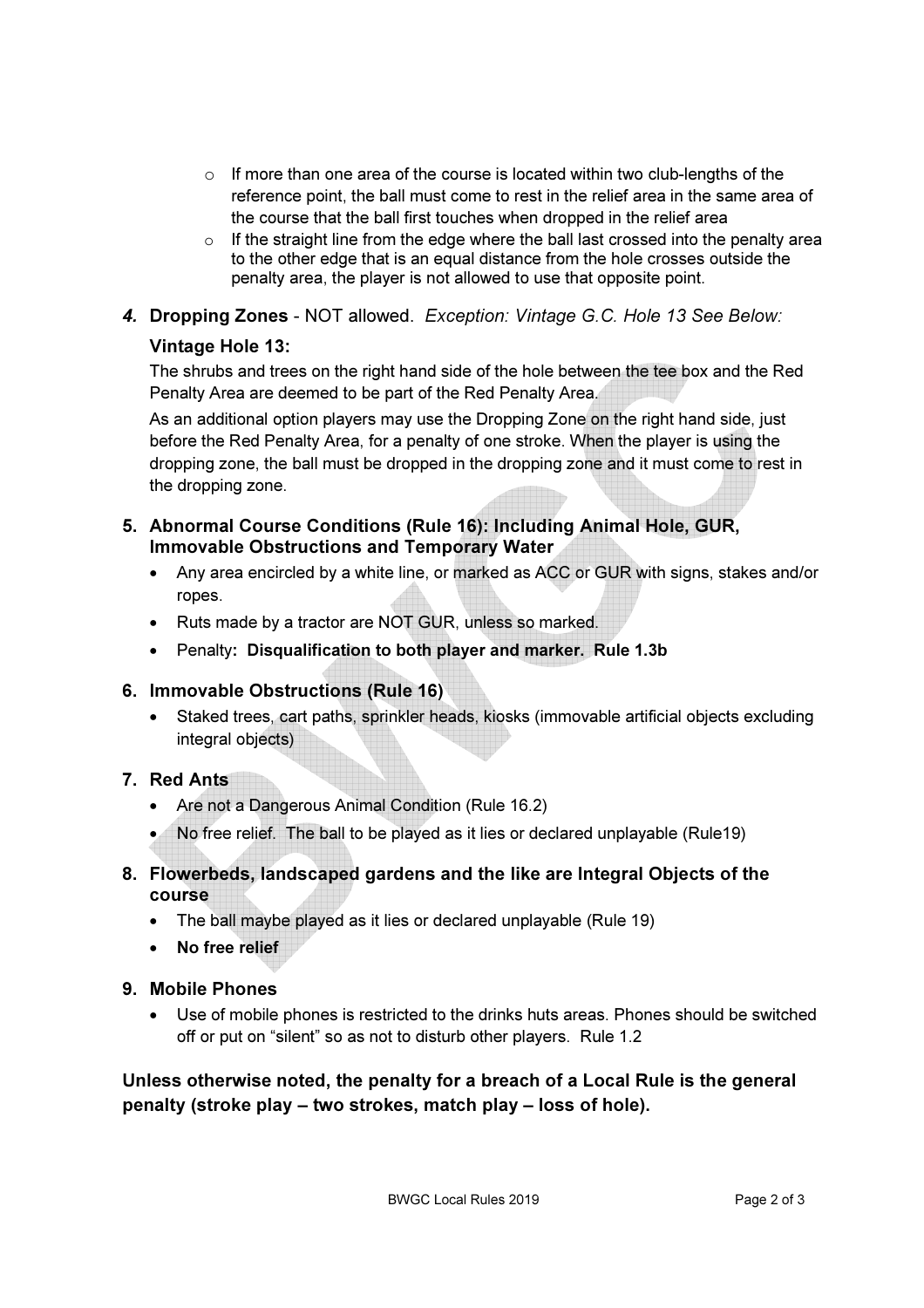- $\circ$  If more than one area of the course is located within two club-lengths of the reference point, the ball must come to rest in the relief area in the same area of the course that the ball first touches when dropped in the relief area
- $\circ$  If the straight line from the edge where the ball last crossed into the penalty area to the other edge that is an equal distance from the hole crosses outside the penalty area, the player is not allowed to use that opposite point.
- 4. Dropping Zones NOT allowed. Exception: Vintage G.C. Hole 13 See Below:

#### Vintage Hole 13:

The shrubs and trees on the right hand side of the hole between the tee box and the Red Penalty Area are deemed to be part of the Red Penalty Area.

As an additional option players may use the Dropping Zone on the right hand side, just before the Red Penalty Area, for a penalty of one stroke. When the player is using the dropping zone, the ball must be dropped in the dropping zone and it must come to rest in the dropping zone.

- 5. Abnormal Course Conditions (Rule 16): Including Animal Hole, GUR, Immovable Obstructions and Temporary Water
	- Any area encircled by a white line, or marked as ACC or GUR with signs, stakes and/or ropes.
	- Ruts made by a tractor are NOT GUR, unless so marked.
	- Penalty: Disqualification to both player and marker. Rule 1.3b

## 6. Immovable Obstructions (Rule 16)

- Staked trees, cart paths, sprinkler heads, kiosks (immovable artificial objects excluding integral objects)
- 7. Red Ants
	- Are not a Dangerous Animal Condition (Rule 16.2)
	- No free relief. The ball to be played as it lies or declared unplayable (Rule19)
- 8. Flowerbeds, landscaped gardens and the like are Integral Objects of the course
	- The ball maybe played as it lies or declared unplayable (Rule 19)
	- No free relief
- 9. Mobile Phones
	- Use of mobile phones is restricted to the drinks huts areas. Phones should be switched off or put on "silent" so as not to disturb other players. Rule 1.2

Unless otherwise noted, the penalty for a breach of a Local Rule is the general penalty (stroke play – two strokes, match play – loss of hole).